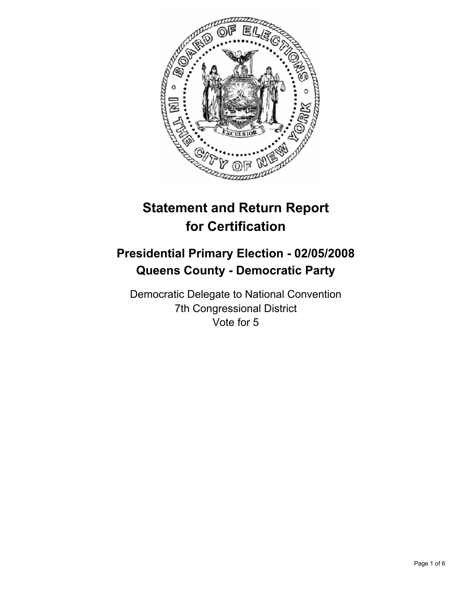

# **Statement and Return Report for Certification**

# **Presidential Primary Election - 02/05/2008 Queens County - Democratic Party**

Democratic Delegate to National Convention 7th Congressional District Vote for 5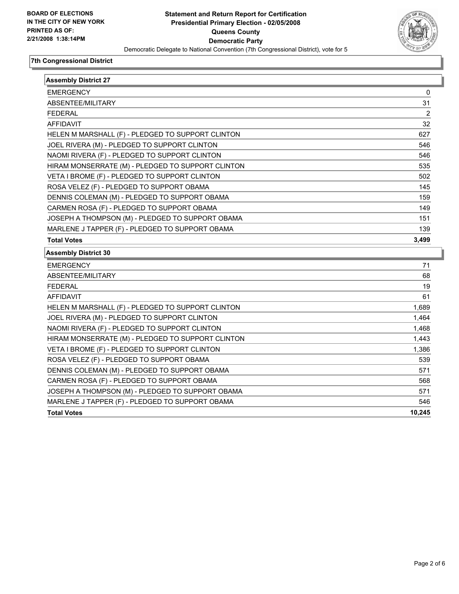

| <b>Assembly District 27</b>                       |        |
|---------------------------------------------------|--------|
| <b>EMERGENCY</b>                                  | 0      |
| ABSENTEE/MILITARY                                 | 31     |
| <b>FEDERAL</b>                                    | 2      |
| <b>AFFIDAVIT</b>                                  | 32     |
| HELEN M MARSHALL (F) - PLEDGED TO SUPPORT CLINTON | 627    |
| JOEL RIVERA (M) - PLEDGED TO SUPPORT CLINTON      | 546    |
| NAOMI RIVERA (F) - PLEDGED TO SUPPORT CLINTON     | 546    |
| HIRAM MONSERRATE (M) - PLEDGED TO SUPPORT CLINTON | 535    |
| VETA I BROME (F) - PLEDGED TO SUPPORT CLINTON     | 502    |
| ROSA VELEZ (F) - PLEDGED TO SUPPORT OBAMA         | 145    |
| DENNIS COLEMAN (M) - PLEDGED TO SUPPORT OBAMA     | 159    |
| CARMEN ROSA (F) - PLEDGED TO SUPPORT OBAMA        | 149    |
| JOSEPH A THOMPSON (M) - PLEDGED TO SUPPORT OBAMA  | 151    |
| MARLENE J TAPPER (F) - PLEDGED TO SUPPORT OBAMA   | 139    |
| <b>Total Votes</b>                                | 3,499  |
| <b>Assembly District 30</b>                       |        |
| <b>EMERGENCY</b>                                  | 71     |
| ABSENTEE/MILITARY                                 | 68     |
| <b>FEDERAL</b>                                    | 19     |
| <b>AFFIDAVIT</b>                                  | 61     |
| HELEN M MARSHALL (F) - PLEDGED TO SUPPORT CLINTON | 1,689  |
| JOEL RIVERA (M) - PLEDGED TO SUPPORT CLINTON      | 1,464  |
| NAOMI RIVERA (F) - PLEDGED TO SUPPORT CLINTON     | 1,468  |
| HIRAM MONSERRATE (M) - PLEDGED TO SUPPORT CLINTON | 1,443  |
| VETA I BROME (F) - PLEDGED TO SUPPORT CLINTON     | 1,386  |
| ROSA VELEZ (F) - PLEDGED TO SUPPORT OBAMA         | 539    |
| DENNIS COLEMAN (M) - PLEDGED TO SUPPORT OBAMA     | 571    |
| CARMEN ROSA (F) - PLEDGED TO SUPPORT OBAMA        | 568    |
| JOSEPH A THOMPSON (M) - PLEDGED TO SUPPORT OBAMA  | 571    |
| MARLENE J TAPPER (F) - PLEDGED TO SUPPORT OBAMA   | 546    |
| <b>Total Votes</b>                                | 10,245 |
|                                                   |        |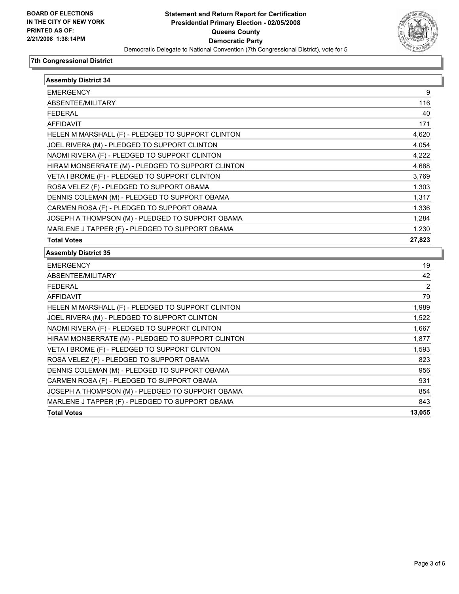

| <b>Assembly District 34</b>                       |        |
|---------------------------------------------------|--------|
| <b>EMERGENCY</b>                                  | 9      |
| ABSENTEE/MILITARY                                 | 116    |
| <b>FEDERAL</b>                                    | 40     |
| <b>AFFIDAVIT</b>                                  | 171    |
| HELEN M MARSHALL (F) - PLEDGED TO SUPPORT CLINTON | 4,620  |
| JOEL RIVERA (M) - PLEDGED TO SUPPORT CLINTON      | 4,054  |
| NAOMI RIVERA (F) - PLEDGED TO SUPPORT CLINTON     | 4,222  |
| HIRAM MONSERRATE (M) - PLEDGED TO SUPPORT CLINTON | 4,688  |
| VETA I BROME (F) - PLEDGED TO SUPPORT CLINTON     | 3,769  |
| ROSA VELEZ (F) - PLEDGED TO SUPPORT OBAMA         | 1,303  |
| DENNIS COLEMAN (M) - PLEDGED TO SUPPORT OBAMA     | 1,317  |
| CARMEN ROSA (F) - PLEDGED TO SUPPORT OBAMA        | 1,336  |
| JOSEPH A THOMPSON (M) - PLEDGED TO SUPPORT OBAMA  | 1,284  |
| MARLENE J TAPPER (F) - PLEDGED TO SUPPORT OBAMA   | 1,230  |
| <b>Total Votes</b>                                | 27,823 |
| <b>Assembly District 35</b>                       |        |
| <b>EMERGENCY</b>                                  | 19     |
| ABSENTEE/MILITARY                                 | 42     |
| <b>FEDERAL</b>                                    | 2      |
| <b>AFFIDAVIT</b>                                  | 79     |
| HELEN M MARSHALL (F) - PLEDGED TO SUPPORT CLINTON | 1,989  |
| JOEL RIVERA (M) - PLEDGED TO SUPPORT CLINTON      | 1,522  |
| NAOMI RIVERA (F) - PLEDGED TO SUPPORT CLINTON     | 1,667  |
| HIRAM MONSERRATE (M) - PLEDGED TO SUPPORT CLINTON | 1,877  |
| VETA I BROME (F) - PLEDGED TO SUPPORT CLINTON     | 1,593  |
| ROSA VELEZ (F) - PLEDGED TO SUPPORT OBAMA         | 823    |
| DENNIS COLEMAN (M) - PLEDGED TO SUPPORT OBAMA     | 956    |
| CARMEN ROSA (F) - PLEDGED TO SUPPORT OBAMA        | 931    |
| JOSEPH A THOMPSON (M) - PLEDGED TO SUPPORT OBAMA  | 854    |
| MARLENE J TAPPER (F) - PLEDGED TO SUPPORT OBAMA   | 843    |
| <b>Total Votes</b>                                | 13,055 |
|                                                   |        |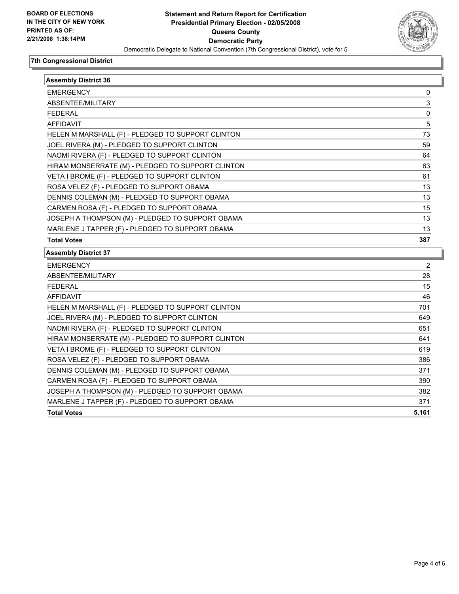

| <b>Assembly District 36</b>                       |       |
|---------------------------------------------------|-------|
| <b>EMERGENCY</b>                                  | 0     |
| ABSENTEE/MILITARY                                 | 3     |
| <b>FEDERAL</b>                                    | 0     |
| AFFIDAVIT                                         | 5     |
| HELEN M MARSHALL (F) - PLEDGED TO SUPPORT CLINTON | 73    |
| JOEL RIVERA (M) - PLEDGED TO SUPPORT CLINTON      | 59    |
| NAOMI RIVERA (F) - PLEDGED TO SUPPORT CLINTON     | 64    |
| HIRAM MONSERRATE (M) - PLEDGED TO SUPPORT CLINTON | 63    |
| VETA I BROME (F) - PLEDGED TO SUPPORT CLINTON     | 61    |
| ROSA VELEZ (F) - PLEDGED TO SUPPORT OBAMA         | 13    |
| DENNIS COLEMAN (M) - PLEDGED TO SUPPORT OBAMA     | 13    |
| CARMEN ROSA (F) - PLEDGED TO SUPPORT OBAMA        | 15    |
| JOSEPH A THOMPSON (M) - PLEDGED TO SUPPORT OBAMA  | 13    |
| MARLENE J TAPPER (F) - PLEDGED TO SUPPORT OBAMA   | 13    |
| <b>Total Votes</b>                                | 387   |
| <b>Assembly District 37</b>                       |       |
| <b>EMERGENCY</b>                                  | 2     |
| ABSENTEE/MILITARY                                 | 28    |
| <b>FEDERAL</b>                                    | 15    |
| <b>AFFIDAVIT</b>                                  | 46    |
| HELEN M MARSHALL (F) - PLEDGED TO SUPPORT CLINTON | 701   |
| JOEL RIVERA (M) - PLEDGED TO SUPPORT CLINTON      | 649   |
| NAOMI RIVERA (F) - PLEDGED TO SUPPORT CLINTON     | 651   |
| HIRAM MONSERRATE (M) - PLEDGED TO SUPPORT CLINTON | 641   |
| VETA I BROME (F) - PLEDGED TO SUPPORT CLINTON     | 619   |
| ROSA VELEZ (F) - PLEDGED TO SUPPORT OBAMA         | 386   |
| DENNIS COLEMAN (M) - PLEDGED TO SUPPORT OBAMA     | 371   |
| CARMEN ROSA (F) - PLEDGED TO SUPPORT OBAMA        | 390   |
| JOSEPH A THOMPSON (M) - PLEDGED TO SUPPORT OBAMA  | 382   |
| MARLENE J TAPPER (F) - PLEDGED TO SUPPORT OBAMA   | 371   |
| <b>Total Votes</b>                                | 5,161 |
|                                                   |       |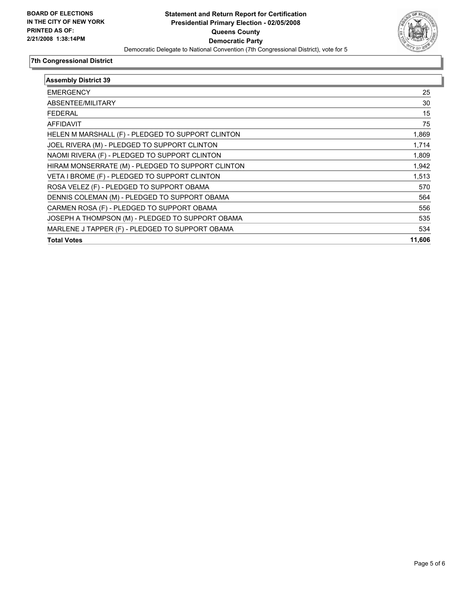

| <b>Assembly District 39</b>                       |        |
|---------------------------------------------------|--------|
| <b>EMERGENCY</b>                                  | 25     |
| ABSENTEE/MILITARY                                 | 30     |
| <b>FEDERAL</b>                                    | 15     |
| <b>AFFIDAVIT</b>                                  | 75     |
| HELEN M MARSHALL (F) - PLEDGED TO SUPPORT CLINTON | 1,869  |
| JOEL RIVERA (M) - PLEDGED TO SUPPORT CLINTON      | 1,714  |
| NAOMI RIVERA (F) - PLEDGED TO SUPPORT CLINTON     | 1,809  |
| HIRAM MONSERRATE (M) - PLEDGED TO SUPPORT CLINTON | 1,942  |
| VETA I BROME (F) - PLEDGED TO SUPPORT CLINTON     | 1,513  |
| ROSA VELEZ (F) - PLEDGED TO SUPPORT OBAMA         | 570    |
| DENNIS COLEMAN (M) - PLEDGED TO SUPPORT OBAMA     | 564    |
| CARMEN ROSA (F) - PLEDGED TO SUPPORT OBAMA        | 556    |
| JOSEPH A THOMPSON (M) - PLEDGED TO SUPPORT OBAMA  | 535    |
| MARLENE J TAPPER (F) - PLEDGED TO SUPPORT OBAMA   | 534    |
| <b>Total Votes</b>                                | 11,606 |